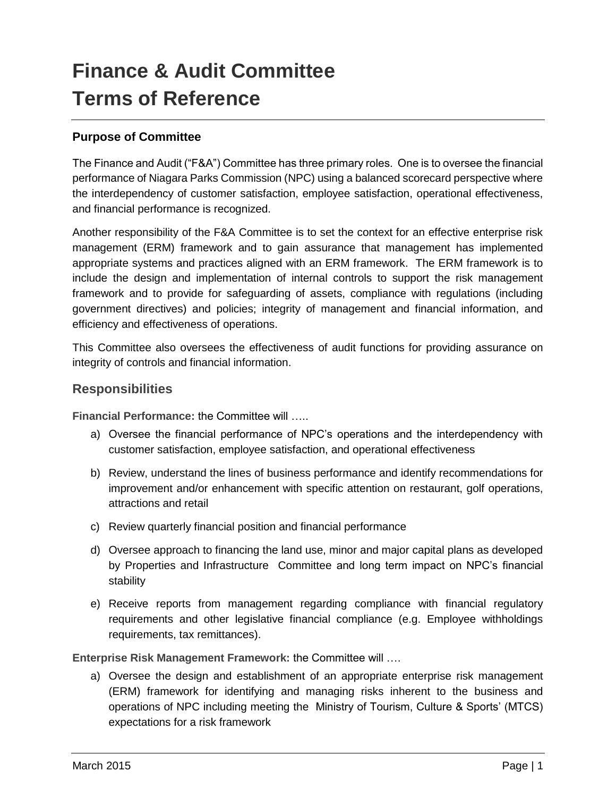# **Finance & Audit Committee Terms of Reference**

# **Purpose of Committee**

The Finance and Audit ("F&A") Committee has three primary roles. One is to oversee the financial performance of Niagara Parks Commission (NPC) using a balanced scorecard perspective where the interdependency of customer satisfaction, employee satisfaction, operational effectiveness, and financial performance is recognized.

Another responsibility of the F&A Committee is to set the context for an effective enterprise risk management (ERM) framework and to gain assurance that management has implemented appropriate systems and practices aligned with an ERM framework. The ERM framework is to include the design and implementation of internal controls to support the risk management framework and to provide for safeguarding of assets, compliance with regulations (including government directives) and policies; integrity of management and financial information, and efficiency and effectiveness of operations.

This Committee also oversees the effectiveness of audit functions for providing assurance on integrity of controls and financial information.

# **Responsibilities**

**Financial Performance:** the Committee will …..

- a) Oversee the financial performance of NPC's operations and the interdependency with customer satisfaction, employee satisfaction, and operational effectiveness
- b) Review, understand the lines of business performance and identify recommendations for improvement and/or enhancement with specific attention on restaurant, golf operations, attractions and retail
- c) Review quarterly financial position and financial performance
- d) Oversee approach to financing the land use, minor and major capital plans as developed by Properties and Infrastructure Committee and long term impact on NPC's financial stability
- e) Receive reports from management regarding compliance with financial regulatory requirements and other legislative financial compliance (e.g. Employee withholdings requirements, tax remittances).

**Enterprise Risk Management Framework:** the Committee will ….

a) Oversee the design and establishment of an appropriate enterprise risk management (ERM) framework for identifying and managing risks inherent to the business and operations of NPC including meeting the Ministry of Tourism, Culture & Sports' (MTCS) expectations for a risk framework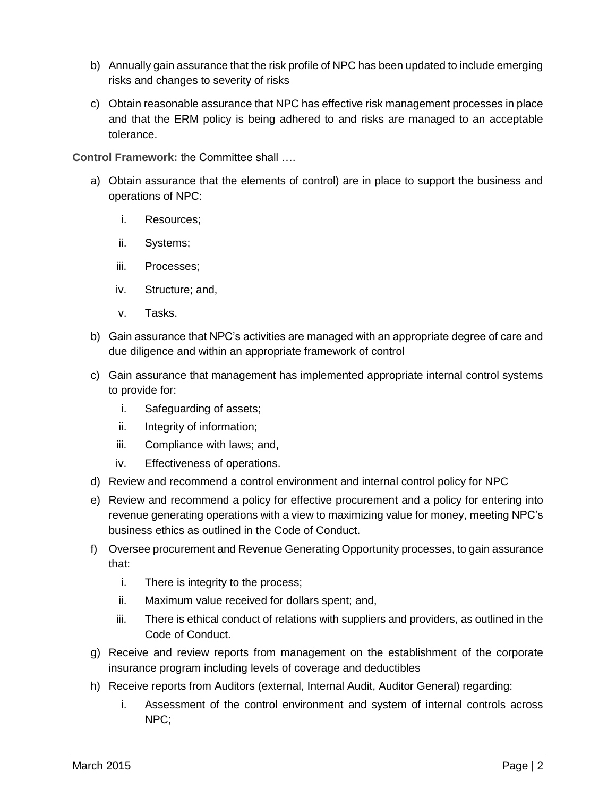- b) Annually gain assurance that the risk profile of NPC has been updated to include emerging risks and changes to severity of risks
- c) Obtain reasonable assurance that NPC has effective risk management processes in place and that the ERM policy is being adhered to and risks are managed to an acceptable tolerance.

**Control Framework:** the Committee shall ….

- a) Obtain assurance that the elements of control) are in place to support the business and operations of NPC:
	- i. Resources;
	- ii. Systems;
	- iii. Processes;
	- iv. Structure; and,
	- v. Tasks.
- b) Gain assurance that NPC's activities are managed with an appropriate degree of care and due diligence and within an appropriate framework of control
- c) Gain assurance that management has implemented appropriate internal control systems to provide for:
	- i. Safeguarding of assets;
	- ii. Integrity of information;
	- iii. Compliance with laws; and,
	- iv. Effectiveness of operations.
- d) Review and recommend a control environment and internal control policy for NPC
- e) Review and recommend a policy for effective procurement and a policy for entering into revenue generating operations with a view to maximizing value for money, meeting NPC's business ethics as outlined in the Code of Conduct.
- f) Oversee procurement and Revenue Generating Opportunity processes, to gain assurance that:
	- i. There is integrity to the process;
	- ii. Maximum value received for dollars spent; and,
	- iii. There is ethical conduct of relations with suppliers and providers, as outlined in the Code of Conduct.
- g) Receive and review reports from management on the establishment of the corporate insurance program including levels of coverage and deductibles
- h) Receive reports from Auditors (external, Internal Audit, Auditor General) regarding:
	- i. Assessment of the control environment and system of internal controls across NPC;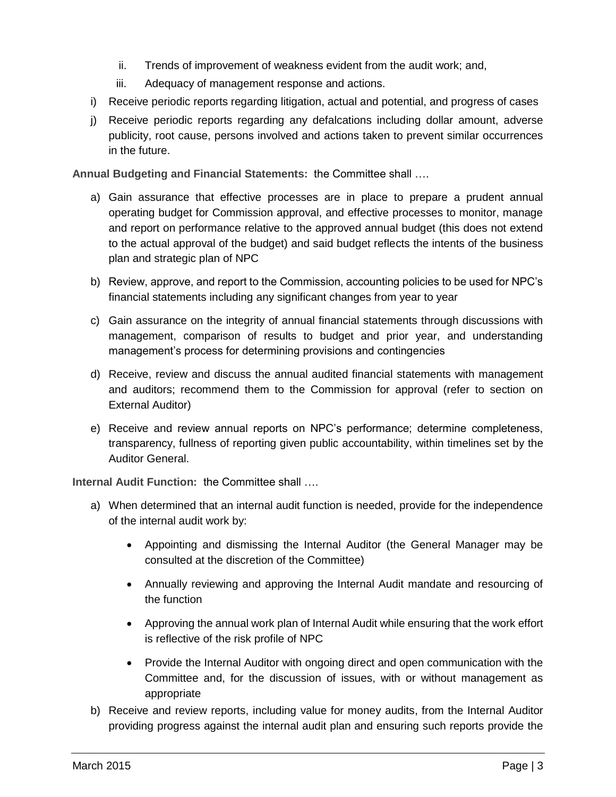- ii. Trends of improvement of weakness evident from the audit work; and,
- iii. Adequacy of management response and actions.
- i) Receive periodic reports regarding litigation, actual and potential, and progress of cases
- j) Receive periodic reports regarding any defalcations including dollar amount, adverse publicity, root cause, persons involved and actions taken to prevent similar occurrences in the future.

**Annual Budgeting and Financial Statements:** the Committee shall ….

- a) Gain assurance that effective processes are in place to prepare a prudent annual operating budget for Commission approval, and effective processes to monitor, manage and report on performance relative to the approved annual budget (this does not extend to the actual approval of the budget) and said budget reflects the intents of the business plan and strategic plan of NPC
- b) Review, approve, and report to the Commission, accounting policies to be used for NPC's financial statements including any significant changes from year to year
- c) Gain assurance on the integrity of annual financial statements through discussions with management, comparison of results to budget and prior year, and understanding management's process for determining provisions and contingencies
- d) Receive, review and discuss the annual audited financial statements with management and auditors; recommend them to the Commission for approval (refer to section on External Auditor)
- e) Receive and review annual reports on NPC's performance; determine completeness, transparency, fullness of reporting given public accountability, within timelines set by the Auditor General.

**Internal Audit Function:** the Committee shall ….

- a) When determined that an internal audit function is needed, provide for the independence of the internal audit work by:
	- Appointing and dismissing the Internal Auditor (the General Manager may be consulted at the discretion of the Committee)
	- Annually reviewing and approving the Internal Audit mandate and resourcing of the function
	- Approving the annual work plan of Internal Audit while ensuring that the work effort is reflective of the risk profile of NPC
	- Provide the Internal Auditor with ongoing direct and open communication with the Committee and, for the discussion of issues, with or without management as appropriate
- b) Receive and review reports, including value for money audits, from the Internal Auditor providing progress against the internal audit plan and ensuring such reports provide the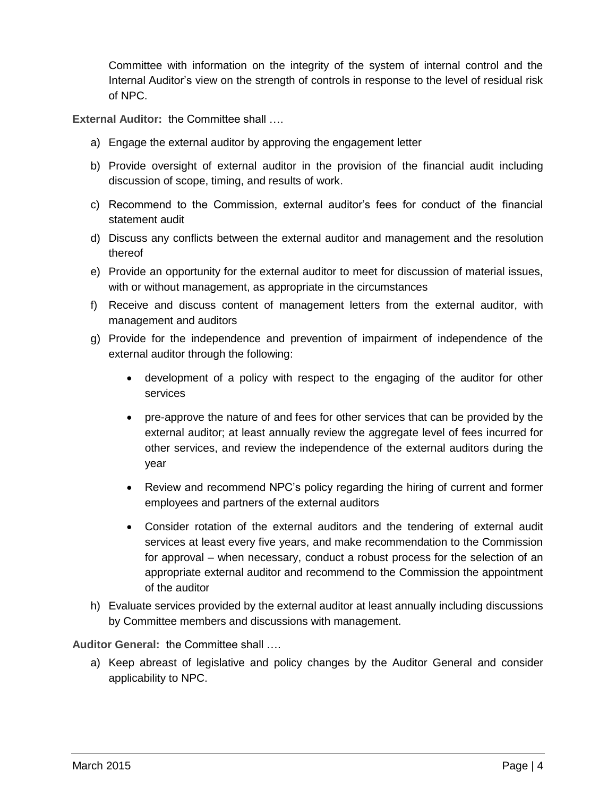Committee with information on the integrity of the system of internal control and the Internal Auditor's view on the strength of controls in response to the level of residual risk of NPC.

**External Auditor:** the Committee shall ….

- a) Engage the external auditor by approving the engagement letter
- b) Provide oversight of external auditor in the provision of the financial audit including discussion of scope, timing, and results of work.
- c) Recommend to the Commission, external auditor's fees for conduct of the financial statement audit
- d) Discuss any conflicts between the external auditor and management and the resolution thereof
- e) Provide an opportunity for the external auditor to meet for discussion of material issues, with or without management, as appropriate in the circumstances
- f) Receive and discuss content of management letters from the external auditor, with management and auditors
- g) Provide for the independence and prevention of impairment of independence of the external auditor through the following:
	- development of a policy with respect to the engaging of the auditor for other services
	- pre-approve the nature of and fees for other services that can be provided by the external auditor; at least annually review the aggregate level of fees incurred for other services, and review the independence of the external auditors during the year
	- Review and recommend NPC's policy regarding the hiring of current and former employees and partners of the external auditors
	- Consider rotation of the external auditors and the tendering of external audit services at least every five years, and make recommendation to the Commission for approval – when necessary, conduct a robust process for the selection of an appropriate external auditor and recommend to the Commission the appointment of the auditor
- h) Evaluate services provided by the external auditor at least annually including discussions by Committee members and discussions with management.

**Auditor General:** the Committee shall ….

a) Keep abreast of legislative and policy changes by the Auditor General and consider applicability to NPC.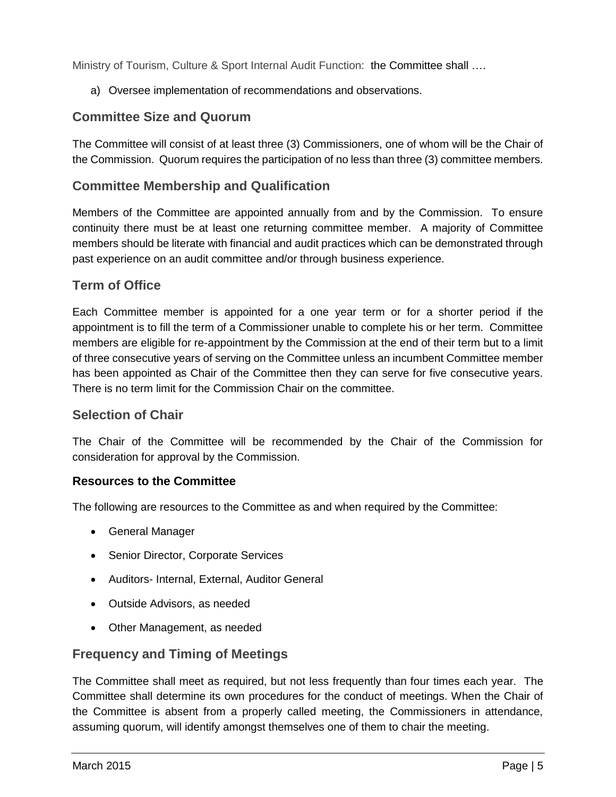Ministry of Tourism, Culture & Sport Internal Audit Function: the Committee shall ....

a) Oversee implementation of recommendations and observations.

# **Committee Size and Quorum**

The Committee will consist of at least three (3) Commissioners, one of whom will be the Chair of the Commission. Quorum requires the participation of no less than three (3) committee members.

# **Committee Membership and Qualification**

Members of the Committee are appointed annually from and by the Commission. To ensure continuity there must be at least one returning committee member. A majority of Committee members should be literate with financial and audit practices which can be demonstrated through past experience on an audit committee and/or through business experience.

# **Term of Office**

Each Committee member is appointed for a one year term or for a shorter period if the appointment is to fill the term of a Commissioner unable to complete his or her term. Committee members are eligible for re-appointment by the Commission at the end of their term but to a limit of three consecutive years of serving on the Committee unless an incumbent Committee member has been appointed as Chair of the Committee then they can serve for five consecutive years. There is no term limit for the Commission Chair on the committee.

# **Selection of Chair**

The Chair of the Committee will be recommended by the Chair of the Commission for consideration for approval by the Commission.

#### **Resources to the Committee**

The following are resources to the Committee as and when required by the Committee:

- General Manager
- Senior Director, Corporate Services
- Auditors- Internal, External, Auditor General
- Outside Advisors, as needed
- Other Management, as needed

# **Frequency and Timing of Meetings**

The Committee shall meet as required, but not less frequently than four times each year. The Committee shall determine its own procedures for the conduct of meetings. When the Chair of the Committee is absent from a properly called meeting, the Commissioners in attendance, assuming quorum, will identify amongst themselves one of them to chair the meeting.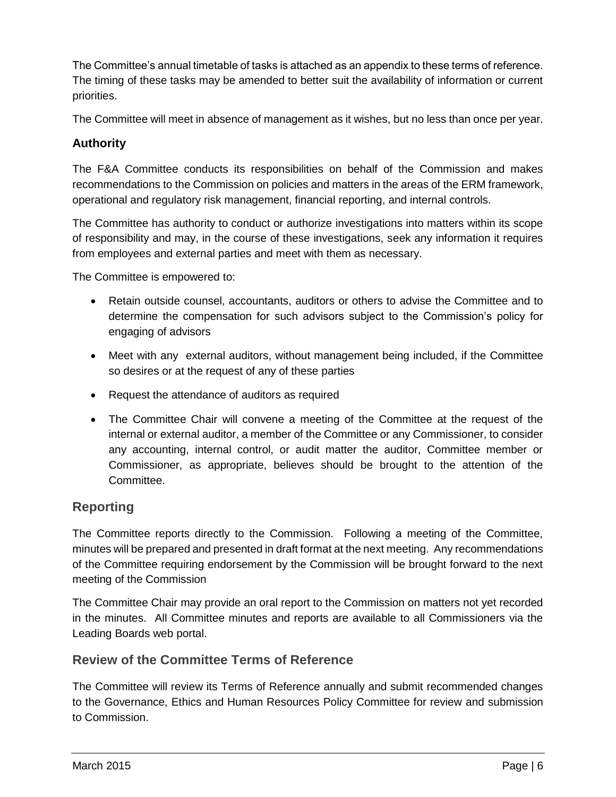The Committee's annual timetable of tasks is attached as an appendix to these terms of reference. The timing of these tasks may be amended to better suit the availability of information or current priorities.

The Committee will meet in absence of management as it wishes, but no less than once per year.

# **Authority**

The F&A Committee conducts its responsibilities on behalf of the Commission and makes recommendations to the Commission on policies and matters in the areas of the ERM framework, operational and regulatory risk management, financial reporting, and internal controls.

The Committee has authority to conduct or authorize investigations into matters within its scope of responsibility and may, in the course of these investigations, seek any information it requires from employees and external parties and meet with them as necessary.

The Committee is empowered to:

- Retain outside counsel, accountants, auditors or others to advise the Committee and to determine the compensation for such advisors subject to the Commission's policy for engaging of advisors
- Meet with any external auditors, without management being included, if the Committee so desires or at the request of any of these parties
- Request the attendance of auditors as required
- The Committee Chair will convene a meeting of the Committee at the request of the internal or external auditor, a member of the Committee or any Commissioner, to consider any accounting, internal control, or audit matter the auditor, Committee member or Commissioner, as appropriate, believes should be brought to the attention of the Committee.

# **Reporting**

The Committee reports directly to the Commission. Following a meeting of the Committee, minutes will be prepared and presented in draft format at the next meeting. Any recommendations of the Committee requiring endorsement by the Commission will be brought forward to the next meeting of the Commission

The Committee Chair may provide an oral report to the Commission on matters not yet recorded in the minutes. All Committee minutes and reports are available to all Commissioners via the Leading Boards web portal.

# **Review of the Committee Terms of Reference**

The Committee will review its Terms of Reference annually and submit recommended changes to the Governance, Ethics and Human Resources Policy Committee for review and submission to Commission.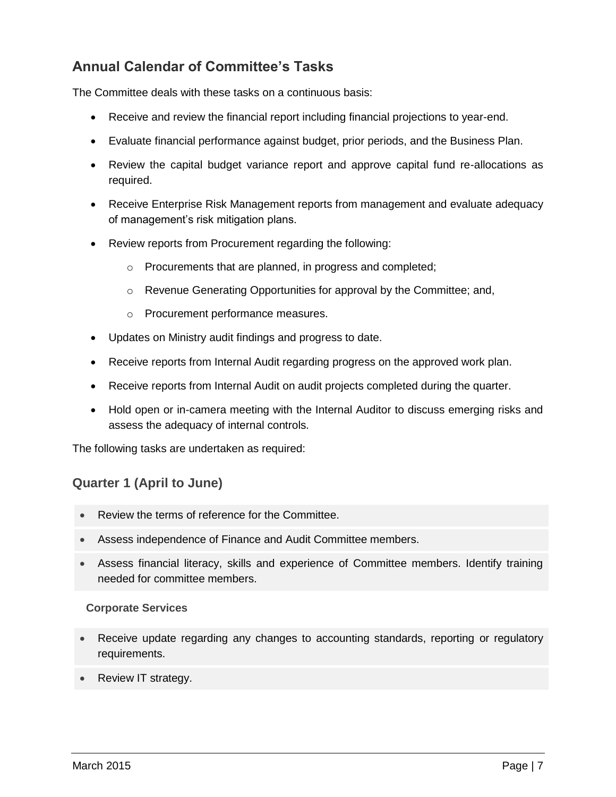# **Annual Calendar of Committee's Tasks**

The Committee deals with these tasks on a continuous basis:

- Receive and review the financial report including financial projections to year-end.
- Evaluate financial performance against budget, prior periods, and the Business Plan.
- Review the capital budget variance report and approve capital fund re-allocations as required.
- Receive Enterprise Risk Management reports from management and evaluate adequacy of management's risk mitigation plans.
- Review reports from Procurement regarding the following:
	- o Procurements that are planned, in progress and completed;
	- o Revenue Generating Opportunities for approval by the Committee; and,
	- o Procurement performance measures.
- Updates on Ministry audit findings and progress to date.
- Receive reports from Internal Audit regarding progress on the approved work plan.
- Receive reports from Internal Audit on audit projects completed during the quarter.
- Hold open or in-camera meeting with the Internal Auditor to discuss emerging risks and assess the adequacy of internal controls.

The following tasks are undertaken as required:

# **Quarter 1 (April to June)**

- Review the terms of reference for the Committee.
- Assess independence of Finance and Audit Committee members.
- Assess financial literacy, skills and experience of Committee members. Identify training needed for committee members.

#### **Corporate Services**

- Receive update regarding any changes to accounting standards, reporting or regulatory requirements.
- Review IT strategy.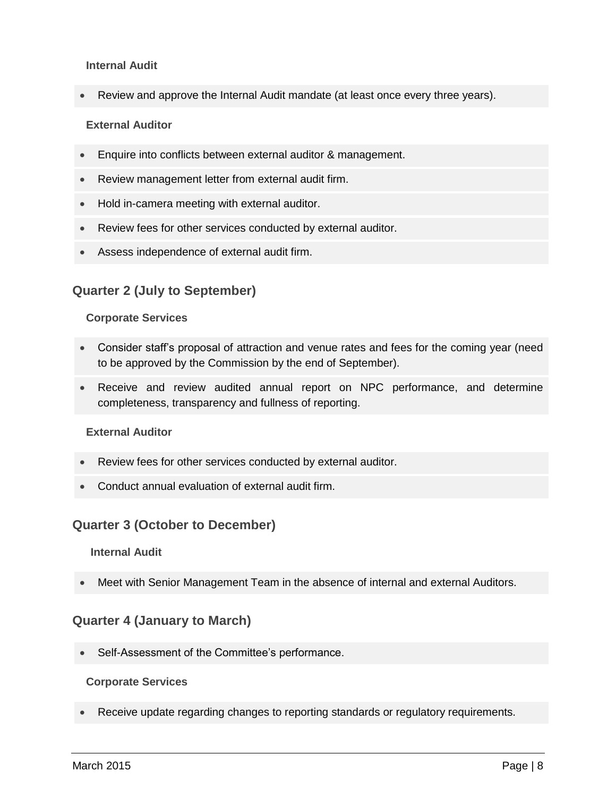#### **Internal Audit**

Review and approve the Internal Audit mandate (at least once every three years).

#### **External Auditor**

- Enquire into conflicts between external auditor & management.
- Review management letter from external audit firm.
- Hold in-camera meeting with external auditor.
- Review fees for other services conducted by external auditor.
- Assess independence of external audit firm.

# **Quarter 2 (July to September)**

#### **Corporate Services**

- Consider staff's proposal of attraction and venue rates and fees for the coming year (need to be approved by the Commission by the end of September).
- Receive and review audited annual report on NPC performance, and determine completeness, transparency and fullness of reporting.

#### **External Auditor**

- Review fees for other services conducted by external auditor.
- Conduct annual evaluation of external audit firm.

# **Quarter 3 (October to December)**

#### **Internal Audit**

Meet with Senior Management Team in the absence of internal and external Auditors.

# **Quarter 4 (January to March)**

Self-Assessment of the Committee's performance.

#### **Corporate Services**

Receive update regarding changes to reporting standards or regulatory requirements.